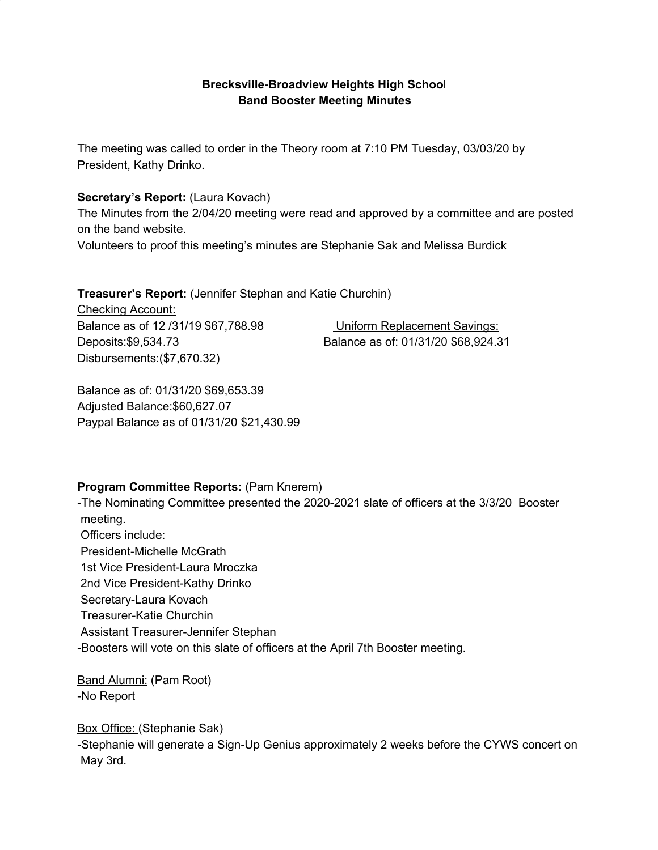### **Brecksville-Broadview Heights High Schoo**l **Band Booster Meeting Minutes**

The meeting was called to order in the Theory room at 7:10 PM Tuesday, 03/03/20 by President, Kathy Drinko.

#### **Secretary's Report:** (Laura Kovach)

The Minutes from the 2/04/20 meeting were read and approved by a committee and are posted on the band website.

Volunteers to proof this meeting's minutes are Stephanie Sak and Melissa Burdick

**Treasurer's Report:** (Jennifer Stephan and Katie Churchin)

Checking Account: Balance as of 12 /31/19 \$67,788.98 Uniform Replacement Savings: Deposits:\$9,534.73 Balance as of: 01/31/20 \$68,924.31 Disbursements:(\$7,670.32)

Balance as of: 01/31/20 \$69,653.39 Adjusted Balance:\$60,627.07 Paypal Balance as of 01/31/20 \$21,430.99

### **Program Committee Reports:** (Pam Knerem)

-The Nominating Committee presented the 2020-2021 slate of officers at the 3/3/20 Booster meeting.

Officers include: President-Michelle McGrath 1st Vice President-Laura Mroczka 2nd Vice President-Kathy Drinko Secretary-Laura Kovach Treasurer-Katie Churchin Assistant Treasurer-Jennifer Stephan -Boosters will vote on this slate of officers at the April 7th Booster meeting.

Band Alumni: (Pam Root) -No Report

Box Office: (Stephanie Sak) -Stephanie will generate a Sign-Up Genius approximately 2 weeks before the CYWS concert on May 3rd.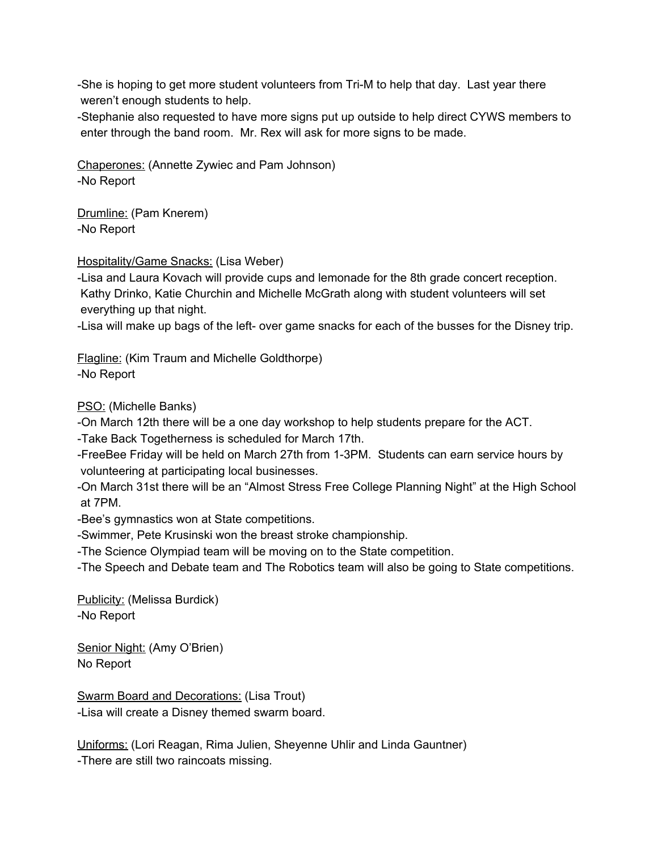-She is hoping to get more student volunteers from Tri-M to help that day. Last year there weren't enough students to help.

-Stephanie also requested to have more signs put up outside to help direct CYWS members to enter through the band room. Mr. Rex will ask for more signs to be made.

Chaperones: (Annette Zywiec and Pam Johnson) -No Report

Drumline: (Pam Knerem) -No Report

Hospitality/Game Snacks: (Lisa Weber)

-Lisa and Laura Kovach will provide cups and lemonade for the 8th grade concert reception. Kathy Drinko, Katie Churchin and Michelle McGrath along with student volunteers will set everything up that night.

-Lisa will make up bags of the left- over game snacks for each of the busses for the Disney trip.

Flagline: (Kim Traum and Michelle Goldthorpe) -No Report

PSO: (Michelle Banks)

-On March 12th there will be a one day workshop to help students prepare for the ACT.

-Take Back Togetherness is scheduled for March 17th.

-FreeBee Friday will be held on March 27th from 1-3PM. Students can earn service hours by volunteering at participating local businesses.

-On March 31st there will be an "Almost Stress Free College Planning Night" at the High School at 7PM.

-Bee's gymnastics won at State competitions.

-Swimmer, Pete Krusinski won the breast stroke championship.

-The Science Olympiad team will be moving on to the State competition.

-The Speech and Debate team and The Robotics team will also be going to State competitions.

Publicity: (Melissa Burdick) -No Report

Senior Night: (Amy O'Brien) No Report

Swarm Board and Decorations: (Lisa Trout) -Lisa will create a Disney themed swarm board.

Uniforms: (Lori Reagan, Rima Julien, Sheyenne Uhlir and Linda Gauntner) -There are still two raincoats missing.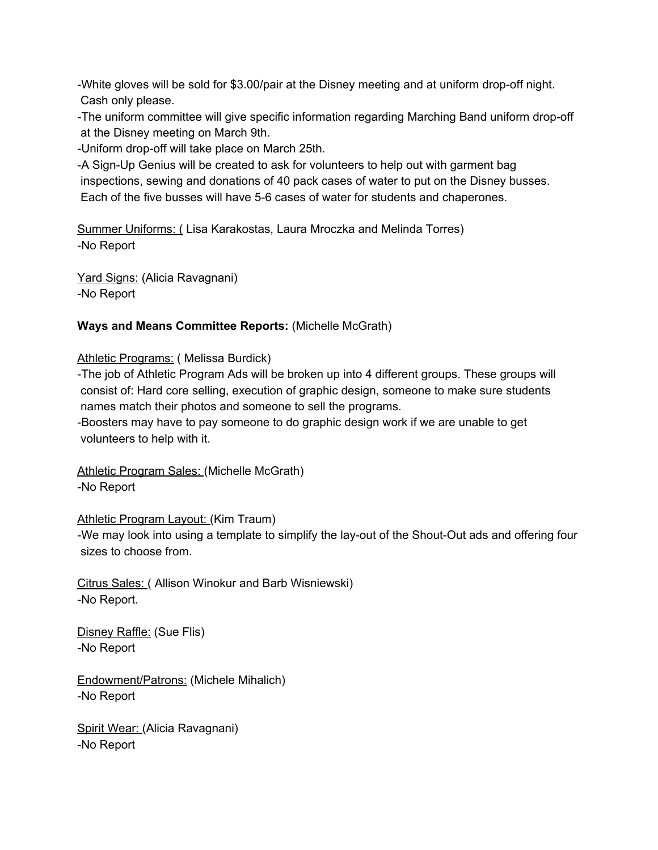-White gloves will be sold for \$3.00/pair at the Disney meeting and at uniform drop-off night. Cash only please.

-The uniform committee will give specific information regarding Marching Band uniform drop-off at the Disney meeting on March 9th.

-Uniform drop-off will take place on March 25th.

-A Sign-Up Genius will be created to ask for volunteers to help out with garment bag inspections, sewing and donations of 40 pack cases of water to put on the Disney busses. Each of the five busses will have 5-6 cases of water for students and chaperones.

Summer Uniforms: ( Lisa Karakostas, Laura Mroczka and Melinda Torres) -No Report

Yard Signs: (Alicia Ravagnani) -No Report

### **Ways and Means Committee Reports:** (Michelle McGrath)

### Athletic Programs: (Melissa Burdick)

-The job of Athletic Program Ads will be broken up into 4 different groups. These groups will consist of: Hard core selling, execution of graphic design, someone to make sure students names match their photos and someone to sell the programs.

-Boosters may have to pay someone to do graphic design work if we are unable to get volunteers to help with it.

Athletic Program Sales: (Michelle McGrath) -No Report

### Athletic Program Layout: (Kim Traum)

-We may look into using a template to simplify the lay-out of the Shout-Out ads and offering four sizes to choose from.

Citrus Sales: ( Allison Winokur and Barb Wisniewski) -No Report.

Disney Raffle: (Sue Flis) -No Report

Endowment/Patrons: (Michele Mihalich) -No Report

Spirit Wear: (Alicia Ravagnani) -No Report